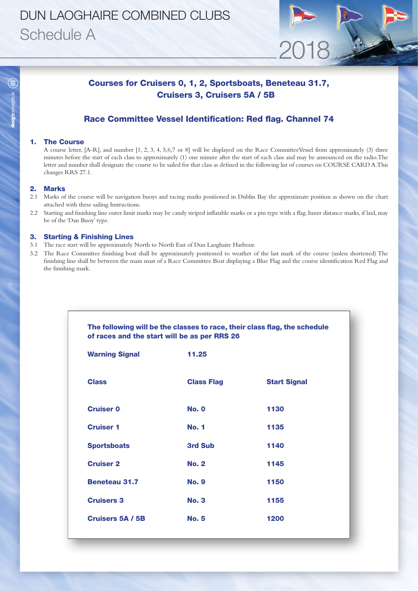# DUN LAOGHAIRE COMBINED CLUBS Schedule A

### Courses for Cruisers 0, 1, 2, Sportsboats, Beneteau 31.7, Cruisers 3, Cruisers 5A / 5B

2018

### Race Committee Vessel Identification: Red flag. Channel 74

#### 1. The Course

A course letter, [A-R], and number [1, 2, 3, 4, 5,6,7 or 8] will be displayed on the Race CommitteeVessel from approximately (3) three minutes before the start of each class to approximately (1) one minute after the start of each class and may be announced on the radio.The letter and number shall designate the course to be sailed for that class as defined in the following list of courses on COURSE CARD A.This changes RRS 27.1.

#### 2. Marks

- 2.1 Marks of the course will be navigation buoys and racing marks positioned in Dublin Bay the approximate position as shown on the chart attached with these sailing Instructions.
- 2.2 Starting and finishing line outer limit marks may be candy striped inflatable marks or a pin type with a flag. Inner distance marks, if laid, may be of the 'Dan Buoy' type.

#### 3. Starting & Finishing Lines

- 3.1 The race start will be approximately North to North East of Dun Laoghaire Harbour.
- 3.2 The Race Committee finishing boat shall be approximately positioned to weather of the last mark of the course (unless shortened) The finishing line shall be between the main mast of a Race Committee Boat displaying a Blue Flag and the course identification Red Flag and the finishing mark.

|                       | of races and the start will be as per RRS 26 |                     |
|-----------------------|----------------------------------------------|---------------------|
| <b>Warning Signal</b> | 11.25                                        |                     |
| <b>Class</b>          | <b>Class Flag</b>                            | <b>Start Signal</b> |
| <b>Cruiser 0</b>      | <b>No. 0</b>                                 | 1130                |
| <b>Cruiser 1</b>      | <b>No. 1</b>                                 | 1135                |
| <b>Sportsboats</b>    | 3rd Sub                                      | 1140                |
| <b>Cruiser 2</b>      | <b>No. 2</b>                                 | 1145                |
| <b>Beneteau 31.7</b>  | <b>No. 9</b>                                 | 1150                |
| <b>Cruisers 3</b>     | <b>No. 3</b>                                 | 1155                |
| Cruisers 5A / 5B      | <b>No. 5</b>                                 | 1200                |